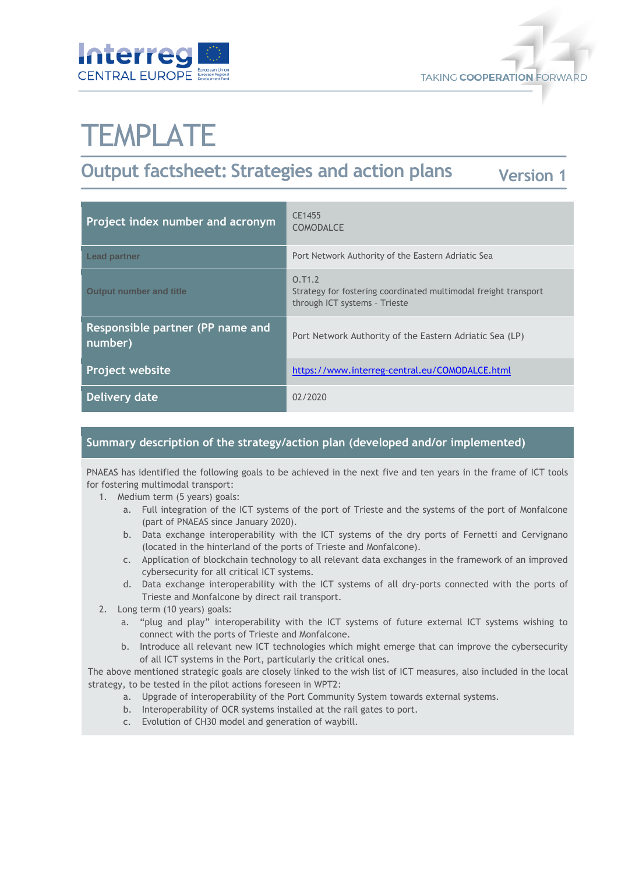



# **TEMPLATE**

#### **Output factsheet: Strategies and action plans Version 1**

| Project index number and acronym            | CE1455<br><b>COMODALCE</b>                                                                                 |
|---------------------------------------------|------------------------------------------------------------------------------------------------------------|
| <b>Lead partner</b>                         | Port Network Authority of the Eastern Adriatic Sea                                                         |
| <b>Output number and title</b>              | 0.71.2<br>Strategy for fostering coordinated multimodal freight transport<br>through ICT systems - Trieste |
| Responsible partner (PP name and<br>number) | Port Network Authority of the Eastern Adriatic Sea (LP)                                                    |
| <b>Project website</b>                      | https://www.interreg-central.eu/COMODALCE.html                                                             |
| Delivery date                               | 02/2020                                                                                                    |

## **Summary description of the strategy/action plan (developed and/or implemented)**

PNAEAS has identified the following goals to be achieved in the next five and ten years in the frame of ICT tools for fostering multimodal transport:

- 1. Medium term (5 years) goals:
	- a. Full integration of the ICT systems of the port of Trieste and the systems of the port of Monfalcone (part of PNAEAS since January 2020).
	- b. Data exchange interoperability with the ICT systems of the dry ports of Fernetti and Cervignano (located in the hinterland of the ports of Trieste and Monfalcone).
	- c. Application of blockchain technology to all relevant data exchanges in the framework of an improved cybersecurity for all critical ICT systems.
	- d. Data exchange interoperability with the ICT systems of all dry-ports connected with the ports of Trieste and Monfalcone by direct rail transport.
- 2. Long term (10 years) goals:
	- a. "plug and play" interoperability with the ICT systems of future external ICT systems wishing to connect with the ports of Trieste and Monfalcone.
	- b. Introduce all relevant new ICT technologies which might emerge that can improve the cybersecurity of all ICT systems in the Port, particularly the critical ones.

The above mentioned strategic goals are closely linked to the wish list of ICT measures, also included in the local strategy, to be tested in the pilot actions foreseen in WPT2:

- a. Upgrade of interoperability of the Port Community System towards external systems.
- b. Interoperability of OCR systems installed at the rail gates to port.
- c. Evolution of CH30 model and generation of waybill.